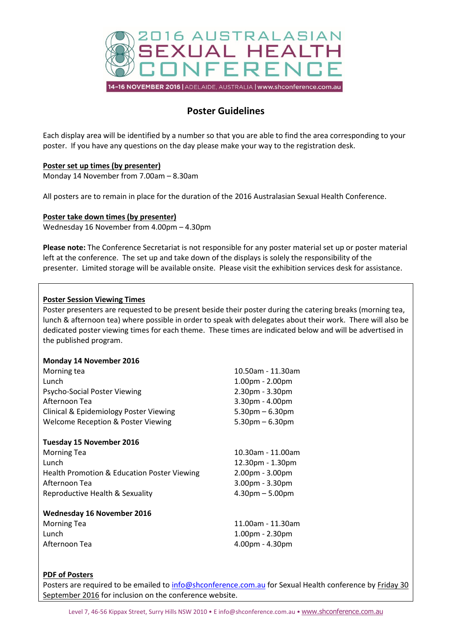

# **Poster Guidelines**

Each display area will be identified by a number so that you are able to find the area corresponding to your poster. If you have any questions on the day please make your way to the registration desk.

## **Poster set up times (by presenter)**

Monday 14 November from 7.00am – 8.30am

All posters are to remain in place for the duration of the 2016 Australasian Sexual Health Conference.

### **Poster take down times (by presenter)**

Wednesday 16 November from 4.00pm – 4.30pm

**Please note:** The Conference Secretariat is not responsible for any poster material set up or poster material left at the conference. The set up and take down of the displays is solely the responsibility of the presenter. Limited storage will be available onsite. Please visit the exhibition services desk for assistance.

### **Poster Session Viewing Times**

Poster presenters are requested to be present beside their poster during the catering breaks (morning tea, lunch & afternoon tea) where possible in order to speak with delegates about their work. There will also be dedicated poster viewing times for each theme. These times are indicated below and will be advertised in the published program.

| Monday 14 November 2016 |  |
|-------------------------|--|
|                         |  |

| Morning tea                                   | 10.50am - 11.30am    |  |
|-----------------------------------------------|----------------------|--|
| Lunch                                         | 1.00pm - 2.00pm      |  |
| Psycho-Social Poster Viewing                  | 2.30pm - 3.30pm      |  |
| Afternoon Tea                                 | 3.30pm - 4.00pm      |  |
| Clinical & Epidemiology Poster Viewing        | $5.30$ pm $-6.30$ pm |  |
| <b>Welcome Reception &amp; Poster Viewing</b> | $5.30$ pm $-6.30$ pm |  |
| Tuesday 15 November 2016                      |                      |  |
| <b>Morning Tea</b>                            | 10.30am - 11.00am    |  |
| Lunch                                         | 12.30pm - 1.30pm     |  |
| Health Promotion & Education Poster Viewing   | 2.00pm - 3.00pm      |  |
| Afternoon Tea                                 | $3.00pm - 3.30pm$    |  |
| Reproductive Health & Sexuality               | $4.30pm - 5.00pm$    |  |
| <b>Wednesday 16 November 2016</b>             |                      |  |
| <b>Morning Tea</b>                            | 11.00am - 11.30am    |  |
| Lunch                                         | $1.00pm - 2.30pm$    |  |
| Afternoon Tea                                 | $4.00pm - 4.30pm$    |  |

#### **PDF of Posters**

Posters are required to be emailed to [info@shconference.com.au](mailto:info@shconference.com.au) for Sexual Health conference by Friday 30 September 2016 for inclusion on the conference website.